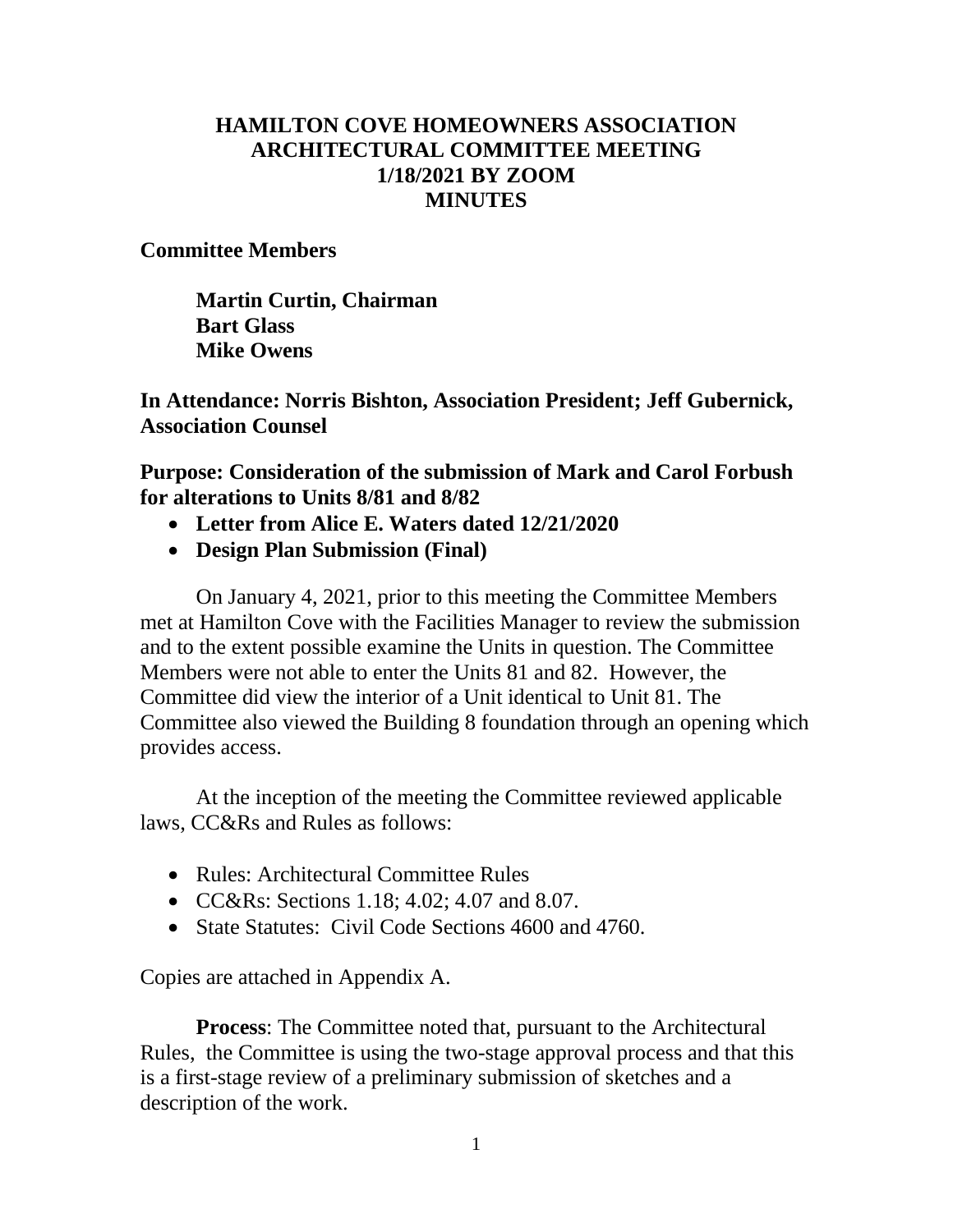## **HAMILTON COVE HOMEOWNERS ASSOCIATION ARCHITECTURAL COMMITTEE MEETING 1/18/2021 BY ZOOM MINUTES**

#### **Committee Members**

**Martin Curtin, Chairman Bart Glass Mike Owens**

**In Attendance: Norris Bishton, Association President; Jeff Gubernick, Association Counsel**

**Purpose: Consideration of the submission of Mark and Carol Forbush for alterations to Units 8/81 and 8/82**

- **Letter from Alice E. Waters dated 12/21/2020**
- **Design Plan Submission (Final)**

On January 4, 2021, prior to this meeting the Committee Members met at Hamilton Cove with the Facilities Manager to review the submission and to the extent possible examine the Units in question. The Committee Members were not able to enter the Units 81 and 82. However, the Committee did view the interior of a Unit identical to Unit 81. The Committee also viewed the Building 8 foundation through an opening which provides access.

At the inception of the meeting the Committee reviewed applicable laws, CC&Rs and Rules as follows:

- Rules: Architectural Committee Rules
- CC&Rs: Sections 1.18: 4.02: 4.07 and 8.07.
- State Statutes: Civil Code Sections 4600 and 4760.

Copies are attached in Appendix A.

**Process**: The Committee noted that, pursuant to the Architectural Rules, the Committee is using the two-stage approval process and that this is a first-stage review of a preliminary submission of sketches and a description of the work.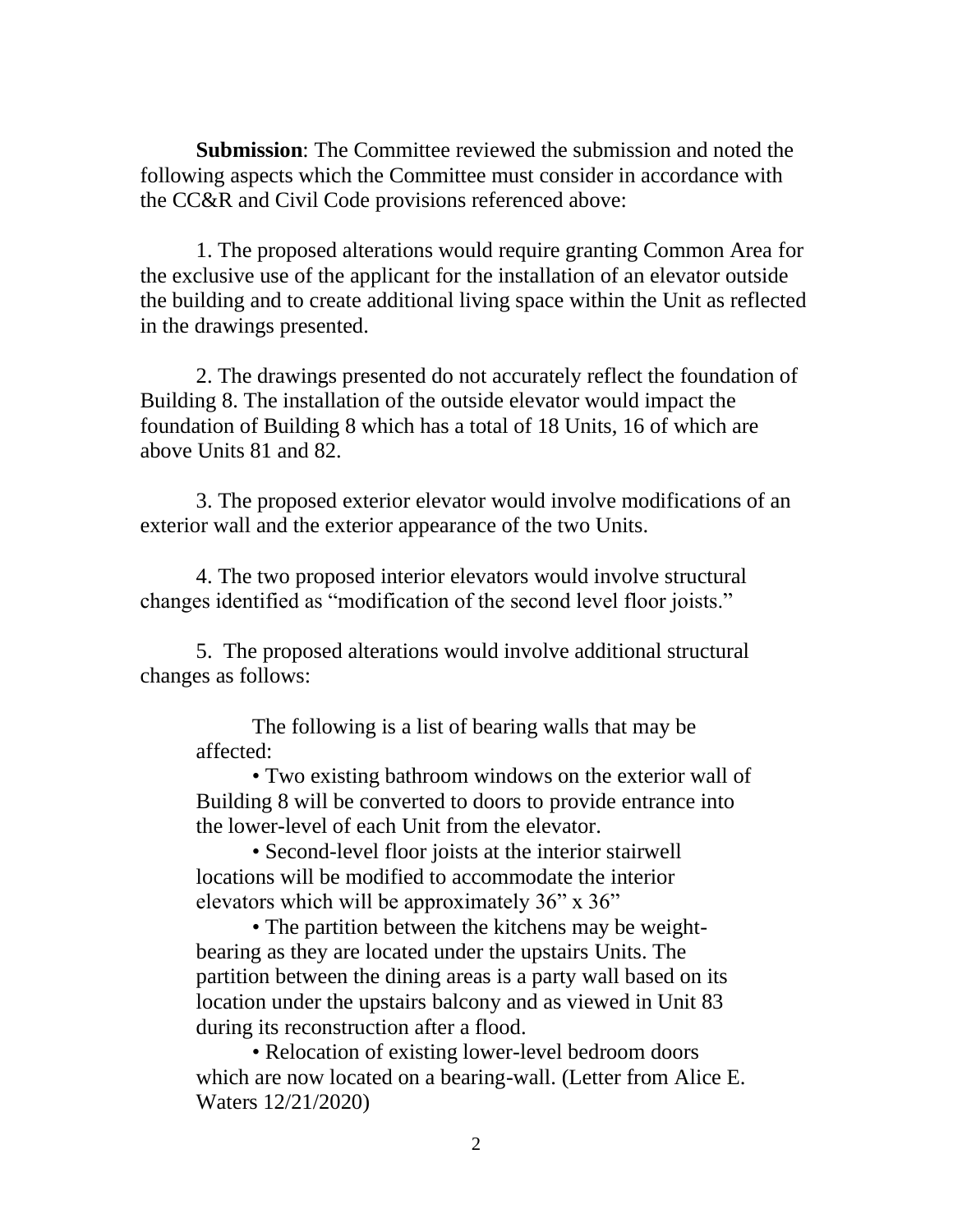**Submission**: The Committee reviewed the submission and noted the following aspects which the Committee must consider in accordance with the CC&R and Civil Code provisions referenced above:

1. The proposed alterations would require granting Common Area for the exclusive use of the applicant for the installation of an elevator outside the building and to create additional living space within the Unit as reflected in the drawings presented.

2. The drawings presented do not accurately reflect the foundation of Building 8. The installation of the outside elevator would impact the foundation of Building 8 which has a total of 18 Units, 16 of which are above Units 81 and 82.

3. The proposed exterior elevator would involve modifications of an exterior wall and the exterior appearance of the two Units.

4. The two proposed interior elevators would involve structural changes identified as "modification of the second level floor joists."

5. The proposed alterations would involve additional structural changes as follows:

The following is a list of bearing walls that may be affected:

• Two existing bathroom windows on the exterior wall of Building 8 will be converted to doors to provide entrance into the lower-level of each Unit from the elevator.

• Second-level floor joists at the interior stairwell locations will be modified to accommodate the interior elevators which will be approximately 36" x 36"

• The partition between the kitchens may be weightbearing as they are located under the upstairs Units. The partition between the dining areas is a party wall based on its location under the upstairs balcony and as viewed in Unit 83 during its reconstruction after a flood.

• Relocation of existing lower-level bedroom doors which are now located on a bearing-wall. (Letter from Alice E. Waters 12/21/2020)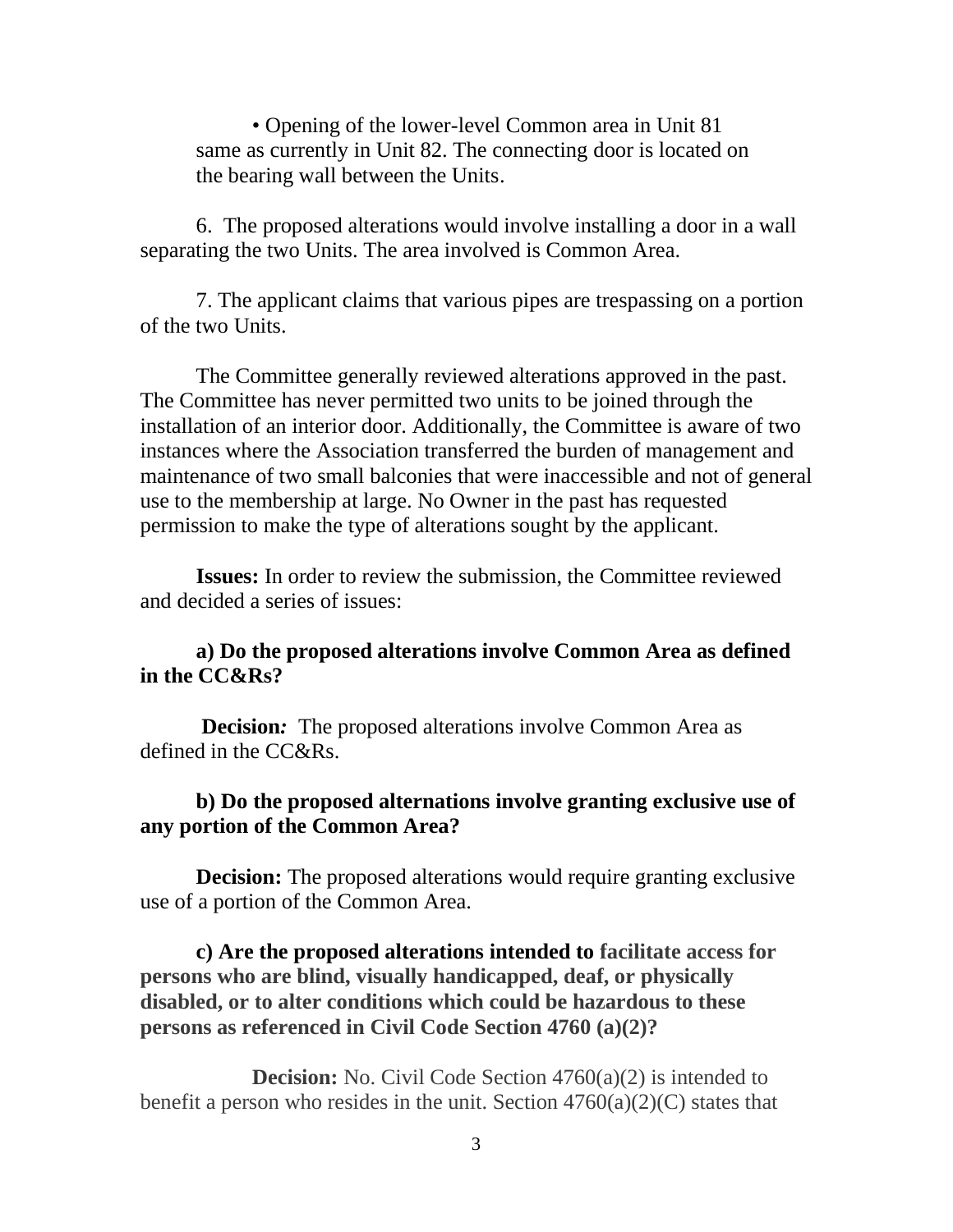• Opening of the lower-level Common area in Unit 81 same as currently in Unit 82. The connecting door is located on the bearing wall between the Units.

6. The proposed alterations would involve installing a door in a wall separating the two Units. The area involved is Common Area.

7. The applicant claims that various pipes are trespassing on a portion of the two Units.

The Committee generally reviewed alterations approved in the past. The Committee has never permitted two units to be joined through the installation of an interior door. Additionally, the Committee is aware of two instances where the Association transferred the burden of management and maintenance of two small balconies that were inaccessible and not of general use to the membership at large. No Owner in the past has requested permission to make the type of alterations sought by the applicant.

**Issues:** In order to review the submission, the Committee reviewed and decided a series of issues:

### **a) Do the proposed alterations involve Common Area as defined in the CC&Rs?**

**Decision:** The proposed alterations involve Common Area as defined in the CC&Rs.

### **b) Do the proposed alternations involve granting exclusive use of any portion of the Common Area?**

**Decision:** The proposed alterations would require granting exclusive use of a portion of the Common Area.

**c) Are the proposed alterations intended to facilitate access for persons who are blind, visually handicapped, deaf, or physically disabled, or to alter conditions which could be hazardous to these persons as referenced in Civil Code Section 4760 (a)(2)?**

**Decision:** No. Civil Code Section 4760(a)(2) is intended to benefit a person who resides in the unit. Section  $4760(a)(2)(C)$  states that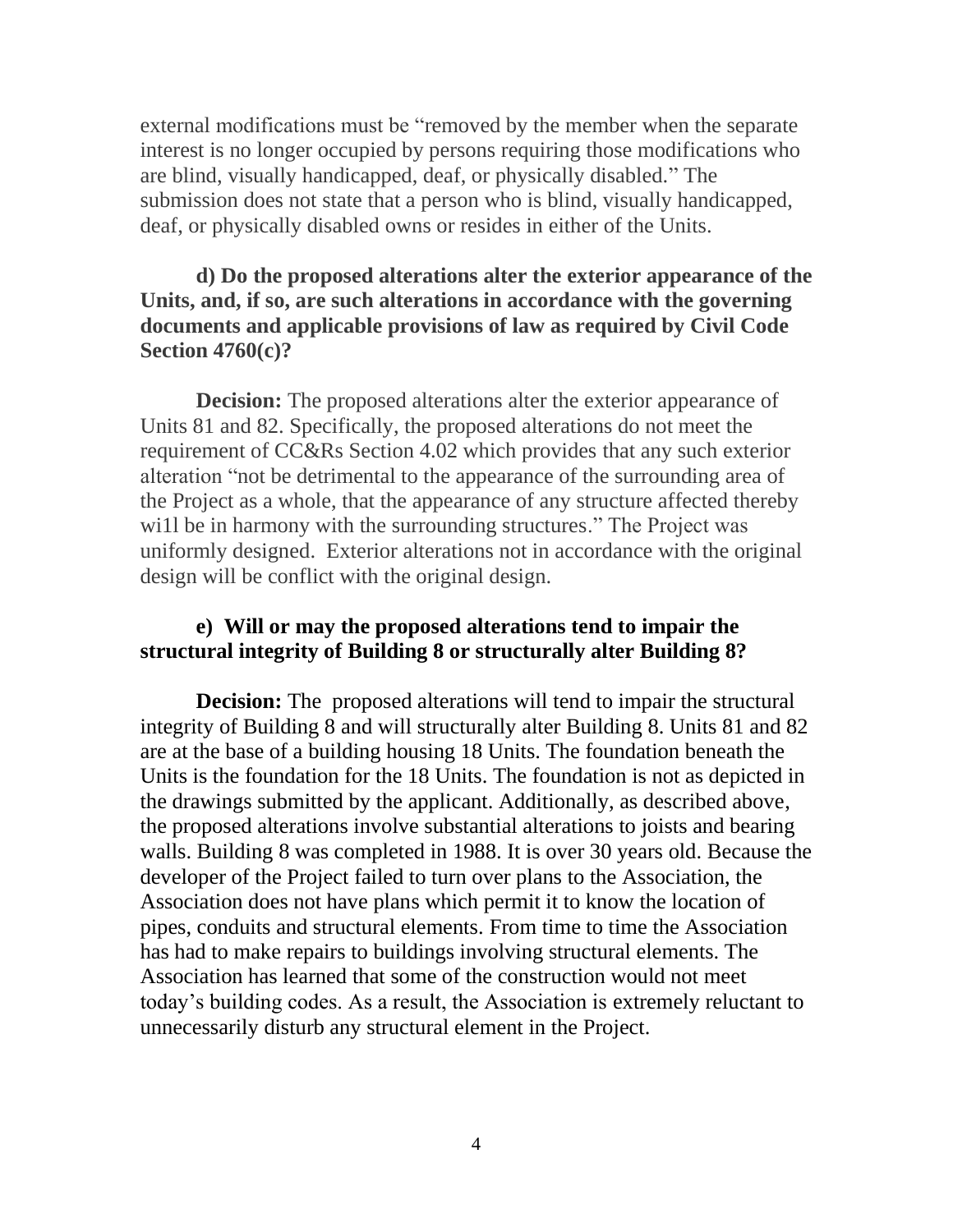external modifications must be "removed by the member when the separate interest is no longer occupied by persons requiring those modifications who are blind, visually handicapped, deaf, or physically disabled." The submission does not state that a person who is blind, visually handicapped, deaf, or physically disabled owns or resides in either of the Units.

### **d) Do the proposed alterations alter the exterior appearance of the Units, and, if so, are such alterations in accordance with the governing documents and applicable provisions of law as required by Civil Code Section 4760(c)?**

**Decision:** The proposed alterations alter the exterior appearance of Units 81 and 82. Specifically, the proposed alterations do not meet the requirement of CC&Rs Section 4.02 which provides that any such exterior alteration "not be detrimental to the appearance of the surrounding area of the Project as a whole, that the appearance of any structure affected thereby will be in harmony with the surrounding structures." The Project was uniformly designed. Exterior alterations not in accordance with the original design will be conflict with the original design.

### **e) Will or may the proposed alterations tend to impair the structural integrity of Building 8 or structurally alter Building 8?**

**Decision:** The proposed alterations will tend to impair the structural integrity of Building 8 and will structurally alter Building 8. Units 81 and 82 are at the base of a building housing 18 Units. The foundation beneath the Units is the foundation for the 18 Units. The foundation is not as depicted in the drawings submitted by the applicant. Additionally, as described above, the proposed alterations involve substantial alterations to joists and bearing walls. Building 8 was completed in 1988. It is over 30 years old. Because the developer of the Project failed to turn over plans to the Association, the Association does not have plans which permit it to know the location of pipes, conduits and structural elements. From time to time the Association has had to make repairs to buildings involving structural elements. The Association has learned that some of the construction would not meet today's building codes. As a result, the Association is extremely reluctant to unnecessarily disturb any structural element in the Project.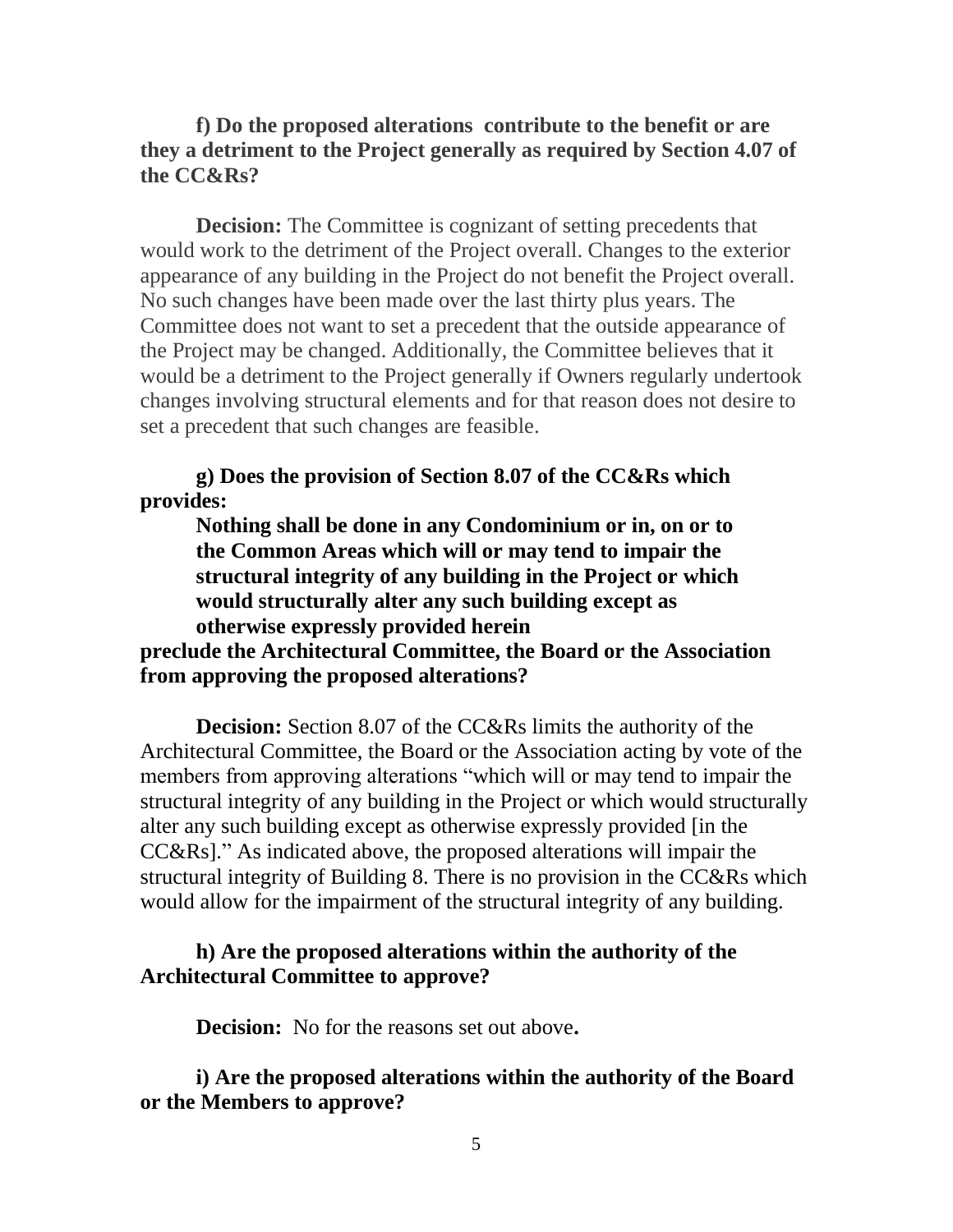### **f) Do the proposed alterations contribute to the benefit or are they a detriment to the Project generally as required by Section 4.07 of the CC&Rs?**

**Decision:** The Committee is cognizant of setting precedents that would work to the detriment of the Project overall. Changes to the exterior appearance of any building in the Project do not benefit the Project overall. No such changes have been made over the last thirty plus years. The Committee does not want to set a precedent that the outside appearance of the Project may be changed. Additionally, the Committee believes that it would be a detriment to the Project generally if Owners regularly undertook changes involving structural elements and for that reason does not desire to set a precedent that such changes are feasible.

**g) Does the provision of Section 8.07 of the CC&Rs which provides:**

**Nothing shall be done in any Condominium or in, on or to the Common Areas which will or may tend to impair the structural integrity of any building in the Project or which would structurally alter any such building except as otherwise expressly provided herein**

**preclude the Architectural Committee, the Board or the Association from approving the proposed alterations?**

**Decision:** Section 8.07 of the CC&Rs limits the authority of the Architectural Committee, the Board or the Association acting by vote of the members from approving alterations "which will or may tend to impair the structural integrity of any building in the Project or which would structurally alter any such building except as otherwise expressly provided [in the CC&Rs]." As indicated above, the proposed alterations will impair the structural integrity of Building 8. There is no provision in the CC&Rs which would allow for the impairment of the structural integrity of any building.

### **h) Are the proposed alterations within the authority of the Architectural Committee to approve?**

**Decision:** No for the reasons set out above**.**

**i) Are the proposed alterations within the authority of the Board or the Members to approve?**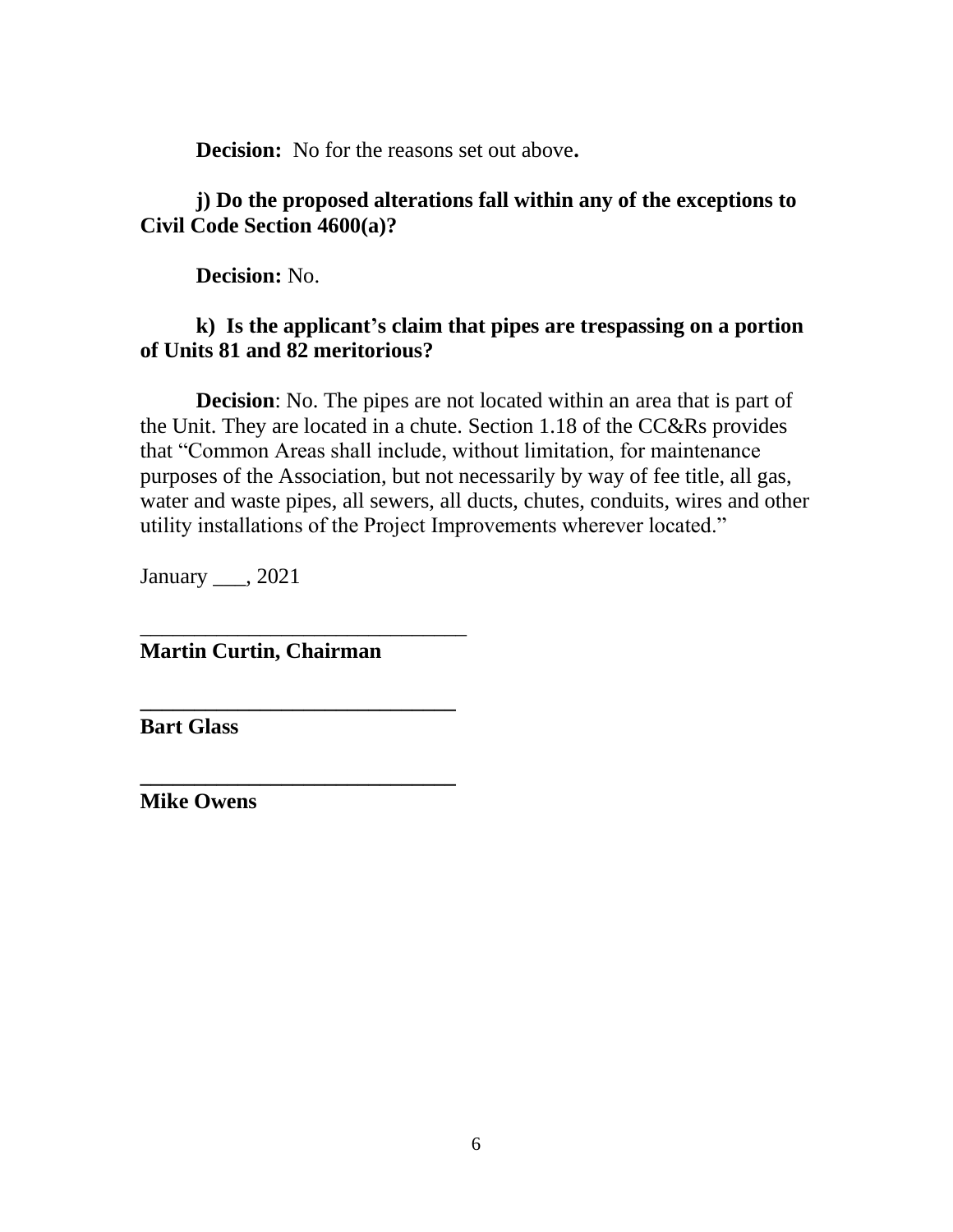**Decision:** No for the reasons set out above**.**

**j) Do the proposed alterations fall within any of the exceptions to Civil Code Section 4600(a)?**

**Decision:** No.

# **k) Is the applicant's claim that pipes are trespassing on a portion of Units 81 and 82 meritorious?**

**Decision**: No. The pipes are not located within an area that is part of the Unit. They are located in a chute. Section 1.18 of the CC&Rs provides that "Common Areas shall include, without limitation, for maintenance purposes of the Association, but not necessarily by way of fee title, all gas, water and waste pipes, all sewers, all ducts, chutes, conduits, wires and other utility installations of the Project Improvements wherever located."

January \_\_\_, 2021

**Martin Curtin, Chairman**

\_\_\_\_\_\_\_\_\_\_\_\_\_\_\_\_\_\_\_\_\_\_\_\_\_\_\_\_\_\_

**\_\_\_\_\_\_\_\_\_\_\_\_\_\_\_\_\_\_\_\_\_\_\_\_\_\_\_\_\_**

**\_\_\_\_\_\_\_\_\_\_\_\_\_\_\_\_\_\_\_\_\_\_\_\_\_\_\_\_\_**

**Bart Glass**

**Mike Owens**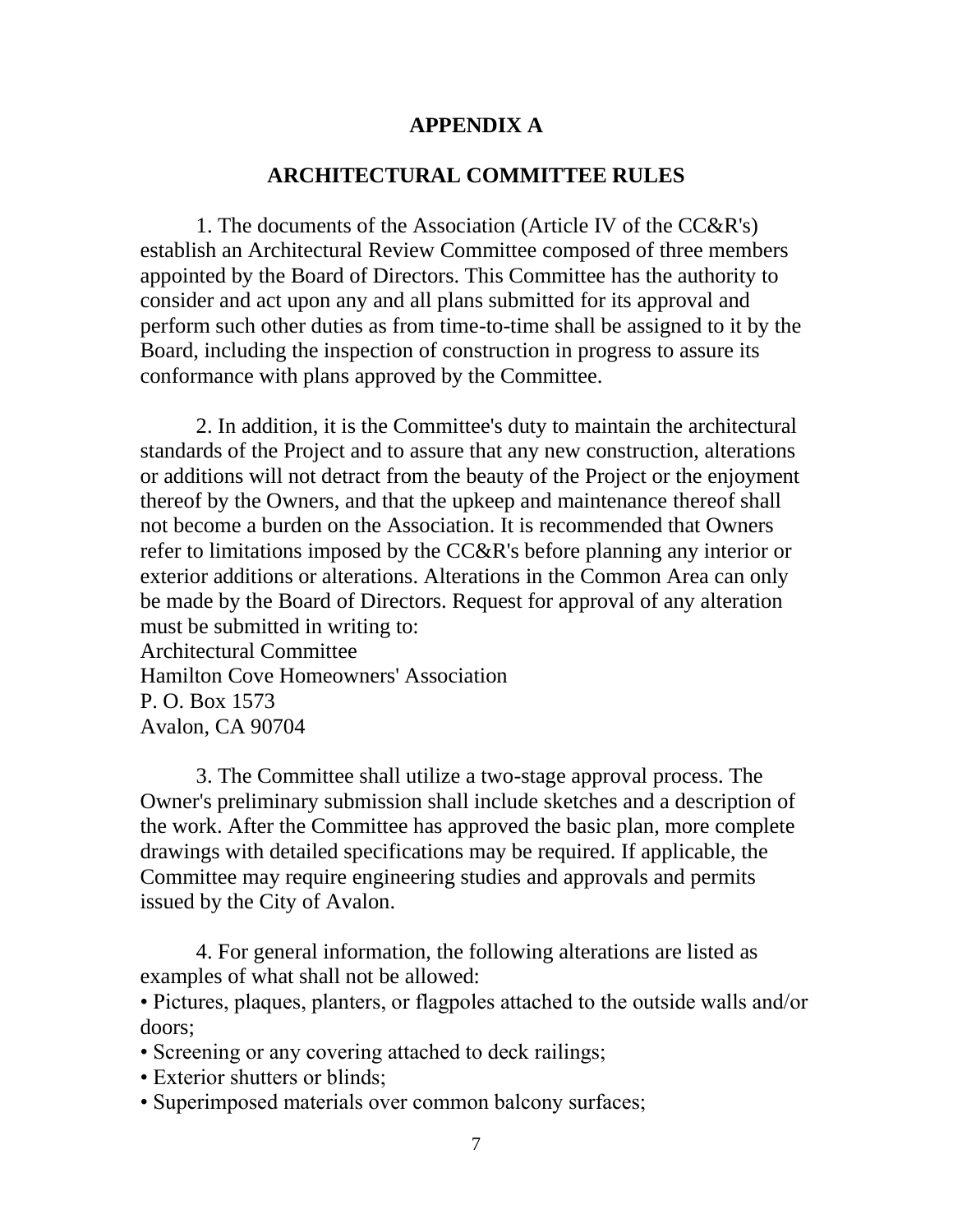#### **APPENDIX A**

#### **ARCHITECTURAL COMMITTEE RULES**

1. The documents of the Association (Article IV of the CC&R's) establish an Architectural Review Committee composed of three members appointed by the Board of Directors. This Committee has the authority to consider and act upon any and all plans submitted for its approval and perform such other duties as from time-to-time shall be assigned to it by the Board, including the inspection of construction in progress to assure its conformance with plans approved by the Committee.

2. In addition, it is the Committee's duty to maintain the architectural standards of the Project and to assure that any new construction, alterations or additions will not detract from the beauty of the Project or the enjoyment thereof by the Owners, and that the upkeep and maintenance thereof shall not become a burden on the Association. It is recommended that Owners refer to limitations imposed by the CC&R's before planning any interior or exterior additions or alterations. Alterations in the Common Area can only be made by the Board of Directors. Request for approval of any alteration must be submitted in writing to: Architectural Committee

Hamilton Cove Homeowners' Association P. O. Box 1573 Avalon, CA 90704

3. The Committee shall utilize a two-stage approval process. The Owner's preliminary submission shall include sketches and a description of the work. After the Committee has approved the basic plan, more complete drawings with detailed specifications may be required. If applicable, the Committee may require engineering studies and approvals and permits issued by the City of Avalon.

4. For general information, the following alterations are listed as examples of what shall not be allowed:

• Pictures, plaques, planters, or flagpoles attached to the outside walls and/or doors;

- Screening or any covering attached to deck railings;
- Exterior shutters or blinds;
- Superimposed materials over common balcony surfaces;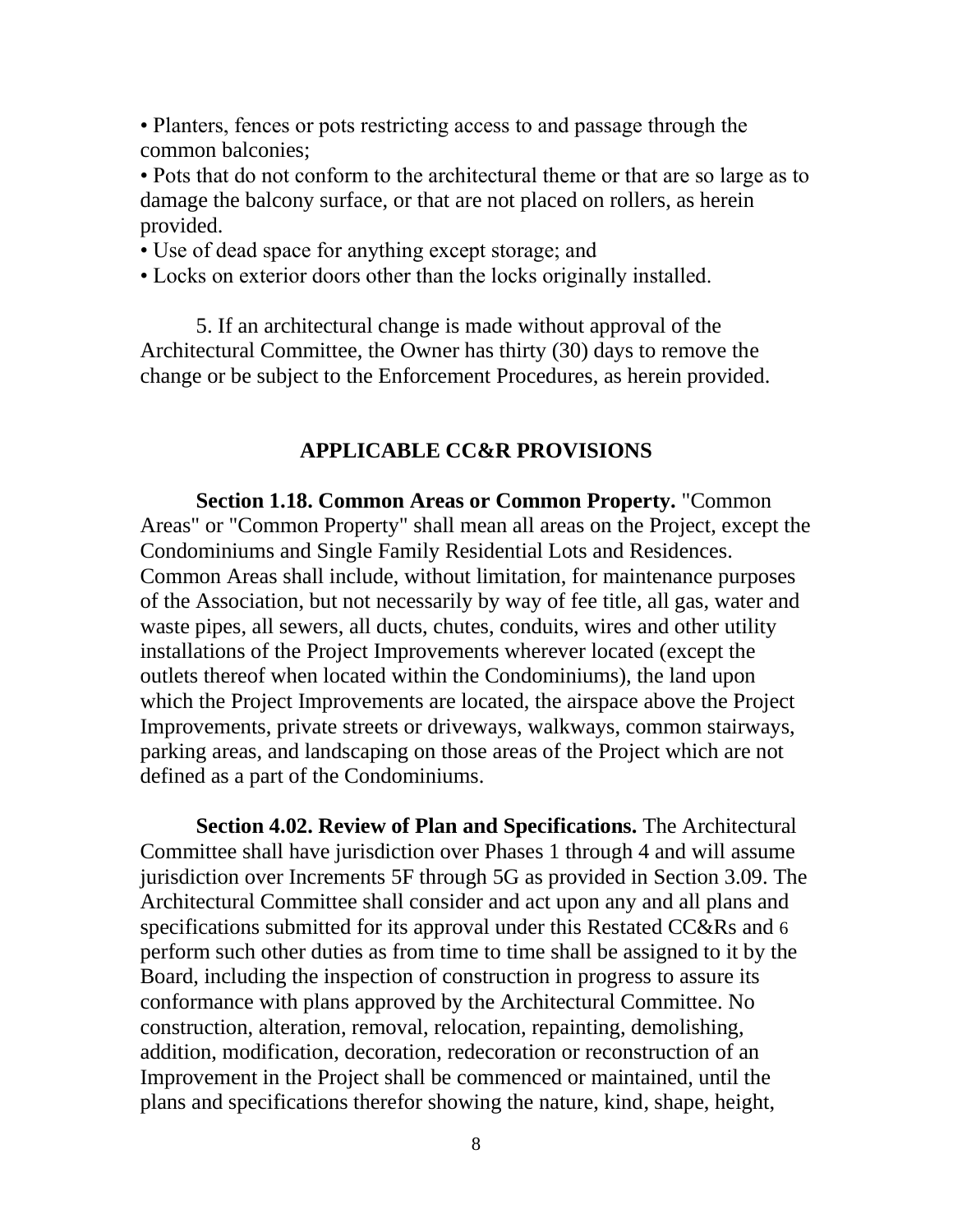• Planters, fences or pots restricting access to and passage through the common balconies;

• Pots that do not conform to the architectural theme or that are so large as to damage the balcony surface, or that are not placed on rollers, as herein provided.

• Use of dead space for anything except storage; and

• Locks on exterior doors other than the locks originally installed.

5. If an architectural change is made without approval of the Architectural Committee, the Owner has thirty (30) days to remove the change or be subject to the Enforcement Procedures, as herein provided.

#### **APPLICABLE CC&R PROVISIONS**

**Section 1.18. Common Areas or Common Property.** "Common Areas" or "Common Property" shall mean all areas on the Project, except the Condominiums and Single Family Residential Lots and Residences. Common Areas shall include, without limitation, for maintenance purposes of the Association, but not necessarily by way of fee title, all gas, water and waste pipes, all sewers, all ducts, chutes, conduits, wires and other utility installations of the Project Improvements wherever located (except the outlets thereof when located within the Condominiums), the land upon which the Project Improvements are located, the airspace above the Project Improvements, private streets or driveways, walkways, common stairways, parking areas, and landscaping on those areas of the Project which are not defined as a part of the Condominiums.

**Section 4.02. Review of Plan and Specifications.** The Architectural Committee shall have jurisdiction over Phases 1 through 4 and will assume jurisdiction over Increments 5F through 5G as provided in Section 3.09. The Architectural Committee shall consider and act upon any and all plans and specifications submitted for its approval under this Restated CC&Rs and 6 perform such other duties as from time to time shall be assigned to it by the Board, including the inspection of construction in progress to assure its conformance with plans approved by the Architectural Committee. No construction, alteration, removal, relocation, repainting, demolishing, addition, modification, decoration, redecoration or reconstruction of an Improvement in the Project shall be commenced or maintained, until the plans and specifications therefor showing the nature, kind, shape, height,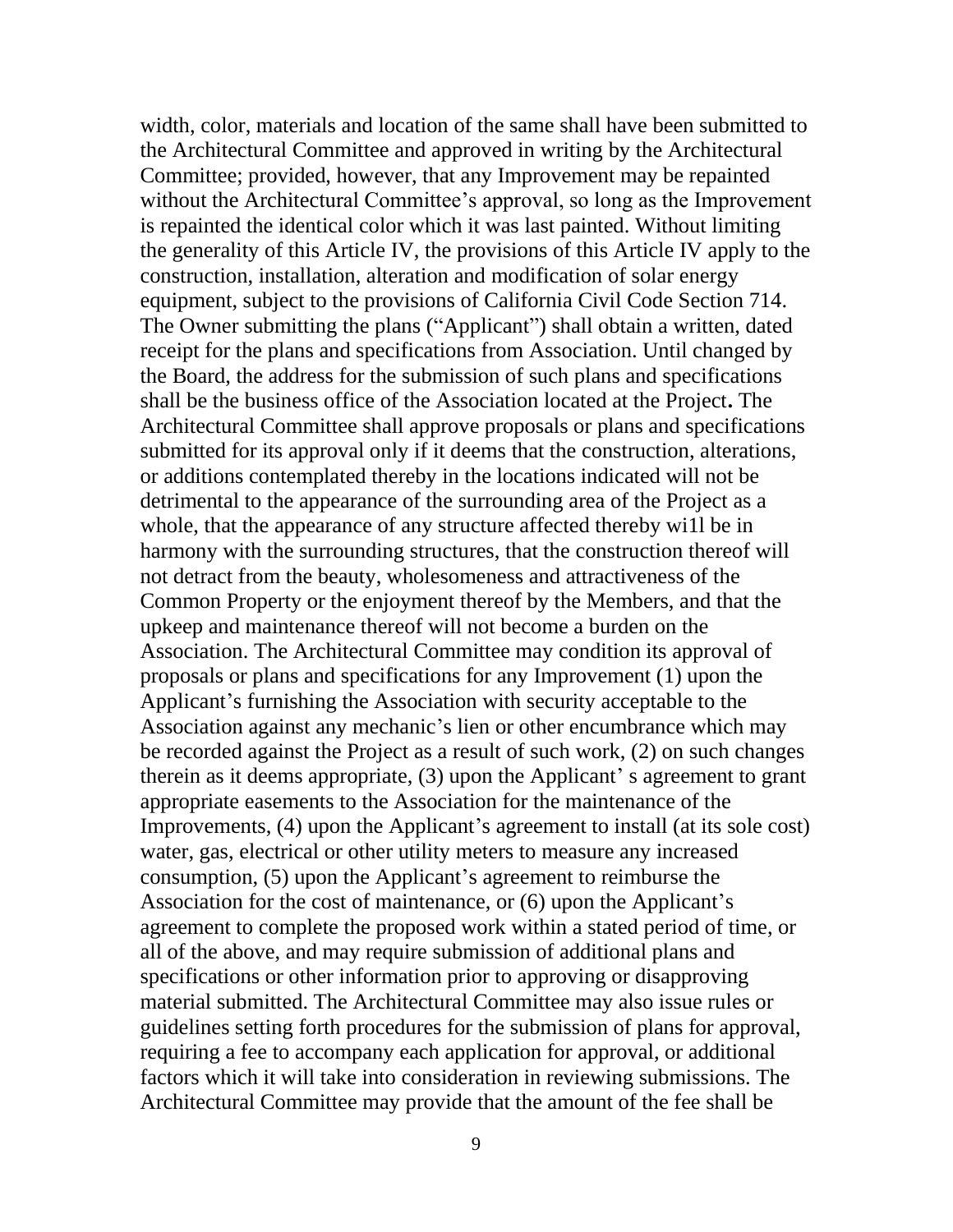width, color, materials and location of the same shall have been submitted to the Architectural Committee and approved in writing by the Architectural Committee; provided, however, that any Improvement may be repainted without the Architectural Committee's approval, so long as the Improvement is repainted the identical color which it was last painted. Without limiting the generality of this Article IV, the provisions of this Article IV apply to the construction, installation, alteration and modification of solar energy equipment, subject to the provisions of California Civil Code Section 714. The Owner submitting the plans ("Applicant") shall obtain a written, dated receipt for the plans and specifications from Association. Until changed by the Board, the address for the submission of such plans and specifications shall be the business office of the Association located at the Project**.** The Architectural Committee shall approve proposals or plans and specifications submitted for its approval only if it deems that the construction, alterations, or additions contemplated thereby in the locations indicated will not be detrimental to the appearance of the surrounding area of the Project as a whole, that the appearance of any structure affected thereby wi1l be in harmony with the surrounding structures, that the construction thereof will not detract from the beauty, wholesomeness and attractiveness of the Common Property or the enjoyment thereof by the Members, and that the upkeep and maintenance thereof will not become a burden on the Association. The Architectural Committee may condition its approval of proposals or plans and specifications for any Improvement (1) upon the Applicant's furnishing the Association with security acceptable to the Association against any mechanic's lien or other encumbrance which may be recorded against the Project as a result of such work, (2) on such changes therein as it deems appropriate, (3) upon the Applicant' s agreement to grant appropriate easements to the Association for the maintenance of the Improvements, (4) upon the Applicant's agreement to install (at its sole cost) water, gas, electrical or other utility meters to measure any increased consumption, (5) upon the Applicant's agreement to reimburse the Association for the cost of maintenance, or (6) upon the Applicant's agreement to complete the proposed work within a stated period of time, or all of the above, and may require submission of additional plans and specifications or other information prior to approving or disapproving material submitted. The Architectural Committee may also issue rules or guidelines setting forth procedures for the submission of plans for approval, requiring a fee to accompany each application for approval, or additional factors which it will take into consideration in reviewing submissions. The Architectural Committee may provide that the amount of the fee shall be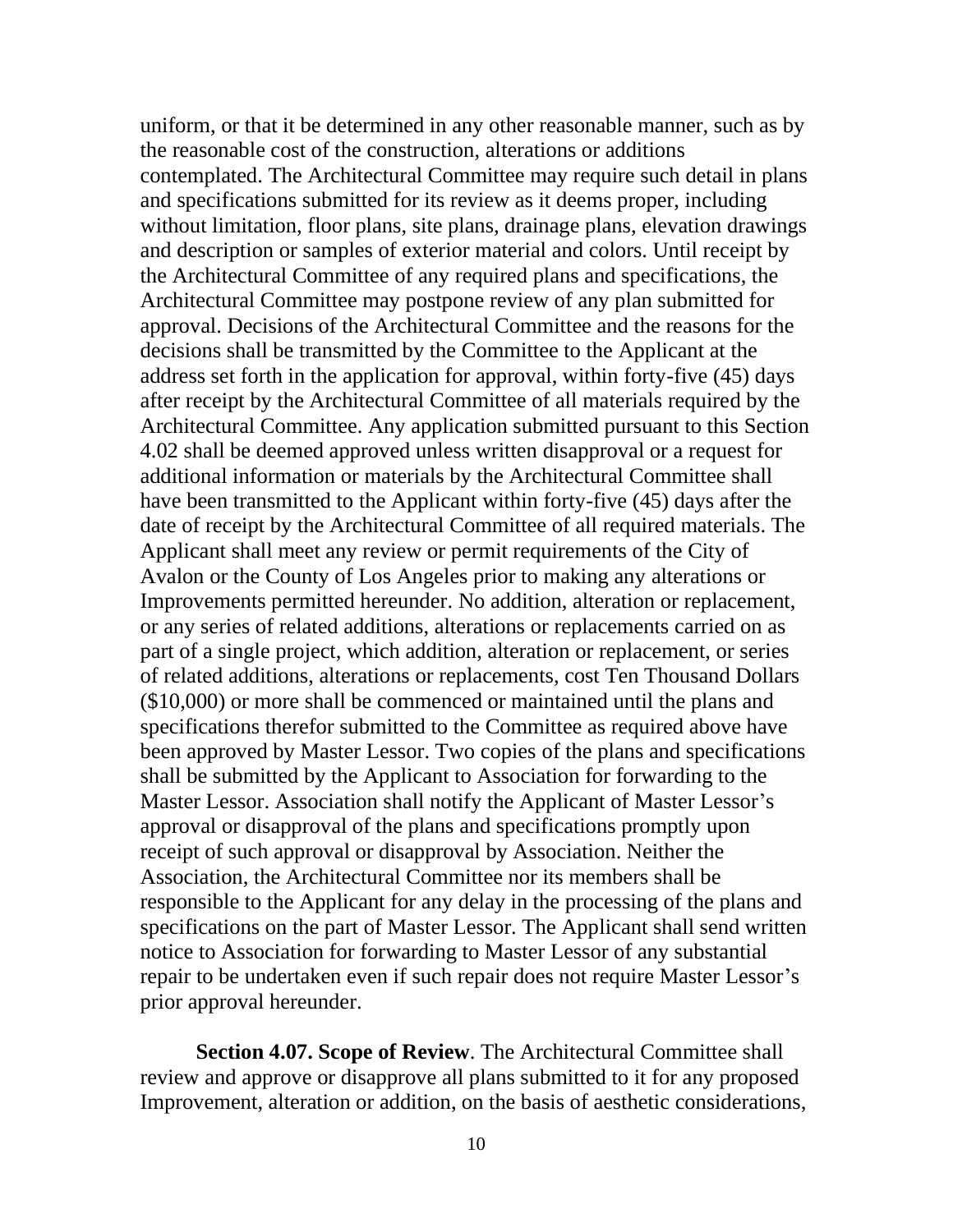uniform, or that it be determined in any other reasonable manner, such as by the reasonable cost of the construction, alterations or additions contemplated. The Architectural Committee may require such detail in plans and specifications submitted for its review as it deems proper, including without limitation, floor plans, site plans, drainage plans, elevation drawings and description or samples of exterior material and colors. Until receipt by the Architectural Committee of any required plans and specifications, the Architectural Committee may postpone review of any plan submitted for approval. Decisions of the Architectural Committee and the reasons for the decisions shall be transmitted by the Committee to the Applicant at the address set forth in the application for approval, within forty-five (45) days after receipt by the Architectural Committee of all materials required by the Architectural Committee. Any application submitted pursuant to this Section 4.02 shall be deemed approved unless written disapproval or a request for additional information or materials by the Architectural Committee shall have been transmitted to the Applicant within forty-five (45) days after the date of receipt by the Architectural Committee of all required materials. The Applicant shall meet any review or permit requirements of the City of Avalon or the County of Los Angeles prior to making any alterations or Improvements permitted hereunder. No addition, alteration or replacement, or any series of related additions, alterations or replacements carried on as part of a single project, which addition, alteration or replacement, or series of related additions, alterations or replacements, cost Ten Thousand Dollars (\$10,000) or more shall be commenced or maintained until the plans and specifications therefor submitted to the Committee as required above have been approved by Master Lessor. Two copies of the plans and specifications shall be submitted by the Applicant to Association for forwarding to the Master Lessor. Association shall notify the Applicant of Master Lessor's approval or disapproval of the plans and specifications promptly upon receipt of such approval or disapproval by Association. Neither the Association, the Architectural Committee nor its members shall be responsible to the Applicant for any delay in the processing of the plans and specifications on the part of Master Lessor. The Applicant shall send written notice to Association for forwarding to Master Lessor of any substantial repair to be undertaken even if such repair does not require Master Lessor's prior approval hereunder.

**Section 4.07. Scope of Review**. The Architectural Committee shall review and approve or disapprove all plans submitted to it for any proposed Improvement, alteration or addition, on the basis of aesthetic considerations,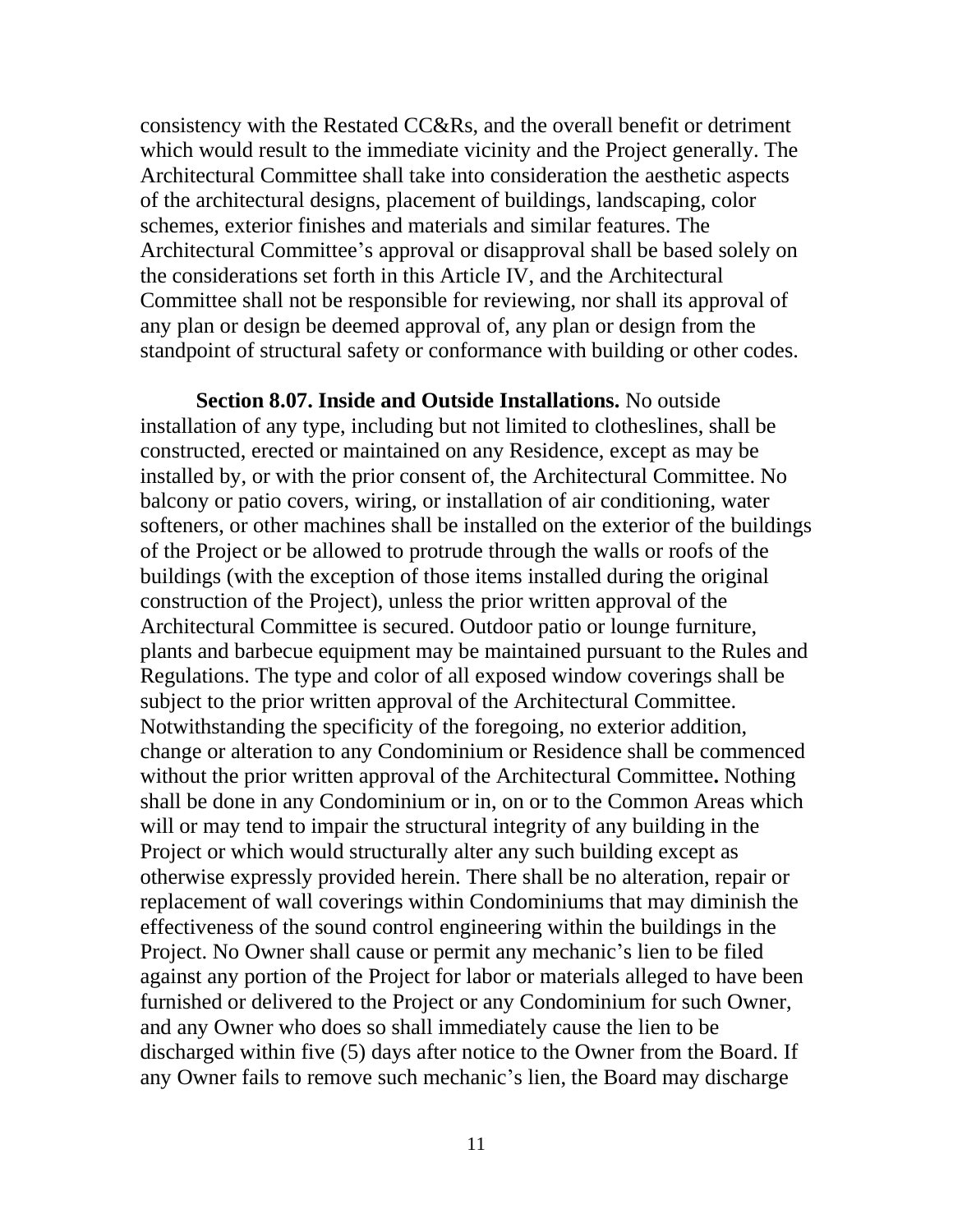consistency with the Restated CC&Rs, and the overall benefit or detriment which would result to the immediate vicinity and the Project generally. The Architectural Committee shall take into consideration the aesthetic aspects of the architectural designs, placement of buildings, landscaping, color schemes, exterior finishes and materials and similar features. The Architectural Committee's approval or disapproval shall be based solely on the considerations set forth in this Article IV, and the Architectural Committee shall not be responsible for reviewing, nor shall its approval of any plan or design be deemed approval of, any plan or design from the standpoint of structural safety or conformance with building or other codes.

**Section 8.07. Inside and Outside Installations.** No outside installation of any type, including but not limited to clotheslines, shall be constructed, erected or maintained on any Residence, except as may be installed by, or with the prior consent of, the Architectural Committee. No balcony or patio covers, wiring, or installation of air conditioning, water softeners, or other machines shall be installed on the exterior of the buildings of the Project or be allowed to protrude through the walls or roofs of the buildings (with the exception of those items installed during the original construction of the Project), unless the prior written approval of the Architectural Committee is secured. Outdoor patio or lounge furniture, plants and barbecue equipment may be maintained pursuant to the Rules and Regulations. The type and color of all exposed window coverings shall be subject to the prior written approval of the Architectural Committee. Notwithstanding the specificity of the foregoing, no exterior addition, change or alteration to any Condominium or Residence shall be commenced without the prior written approval of the Architectural Committee**.** Nothing shall be done in any Condominium or in, on or to the Common Areas which will or may tend to impair the structural integrity of any building in the Project or which would structurally alter any such building except as otherwise expressly provided herein. There shall be no alteration, repair or replacement of wall coverings within Condominiums that may diminish the effectiveness of the sound control engineering within the buildings in the Project. No Owner shall cause or permit any mechanic's lien to be filed against any portion of the Project for labor or materials alleged to have been furnished or delivered to the Project or any Condominium for such Owner, and any Owner who does so shall immediately cause the lien to be discharged within five (5) days after notice to the Owner from the Board. If any Owner fails to remove such mechanic's lien, the Board may discharge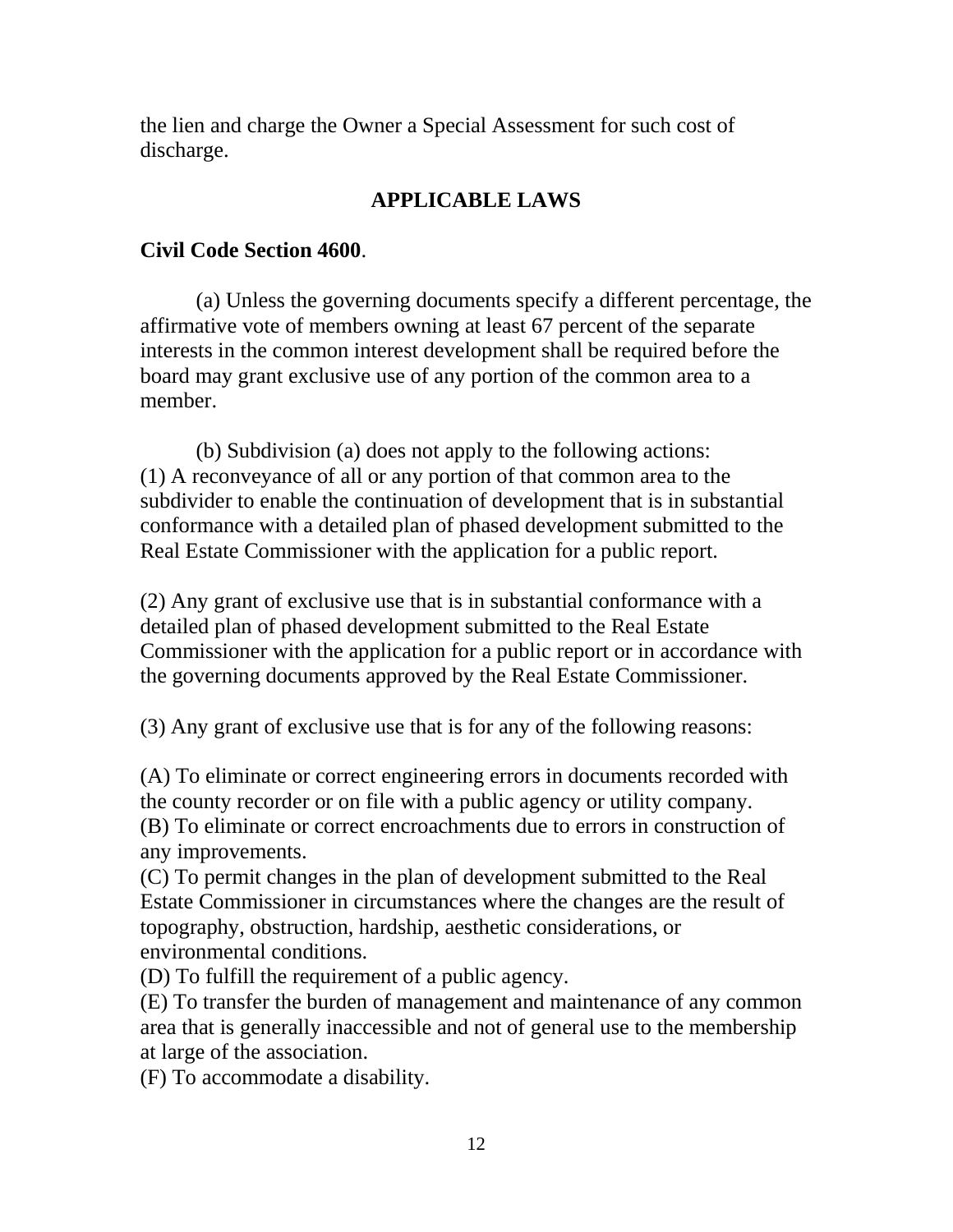the lien and charge the Owner a Special Assessment for such cost of discharge.

# **APPLICABLE LAWS**

# **Civil Code Section 4600**.

(a) Unless the governing documents specify a different percentage, the affirmative vote of members owning at least 67 percent of the separate interests in the common interest development shall be required before the board may grant exclusive use of any portion of the common area to a member.

(b) Subdivision (a) does not apply to the following actions: (1) A reconveyance of all or any portion of that common area to the subdivider to enable the continuation of development that is in substantial conformance with a detailed plan of phased development submitted to the Real Estate Commissioner with the application for a public report.

(2) Any grant of exclusive use that is in substantial conformance with a detailed plan of phased development submitted to the Real Estate Commissioner with the application for a public report or in accordance with the governing documents approved by the Real Estate Commissioner.

(3) Any grant of exclusive use that is for any of the following reasons:

(A) To eliminate or correct engineering errors in documents recorded with the county recorder or on file with a public agency or utility company. (B) To eliminate or correct encroachments due to errors in construction of any improvements.

(C) To permit changes in the plan of development submitted to the Real Estate Commissioner in circumstances where the changes are the result of topography, obstruction, hardship, aesthetic considerations, or environmental conditions.

(D) To fulfill the requirement of a public agency.

(E) To transfer the burden of management and maintenance of any common area that is generally inaccessible and not of general use to the membership at large of the association.

(F) To accommodate a disability.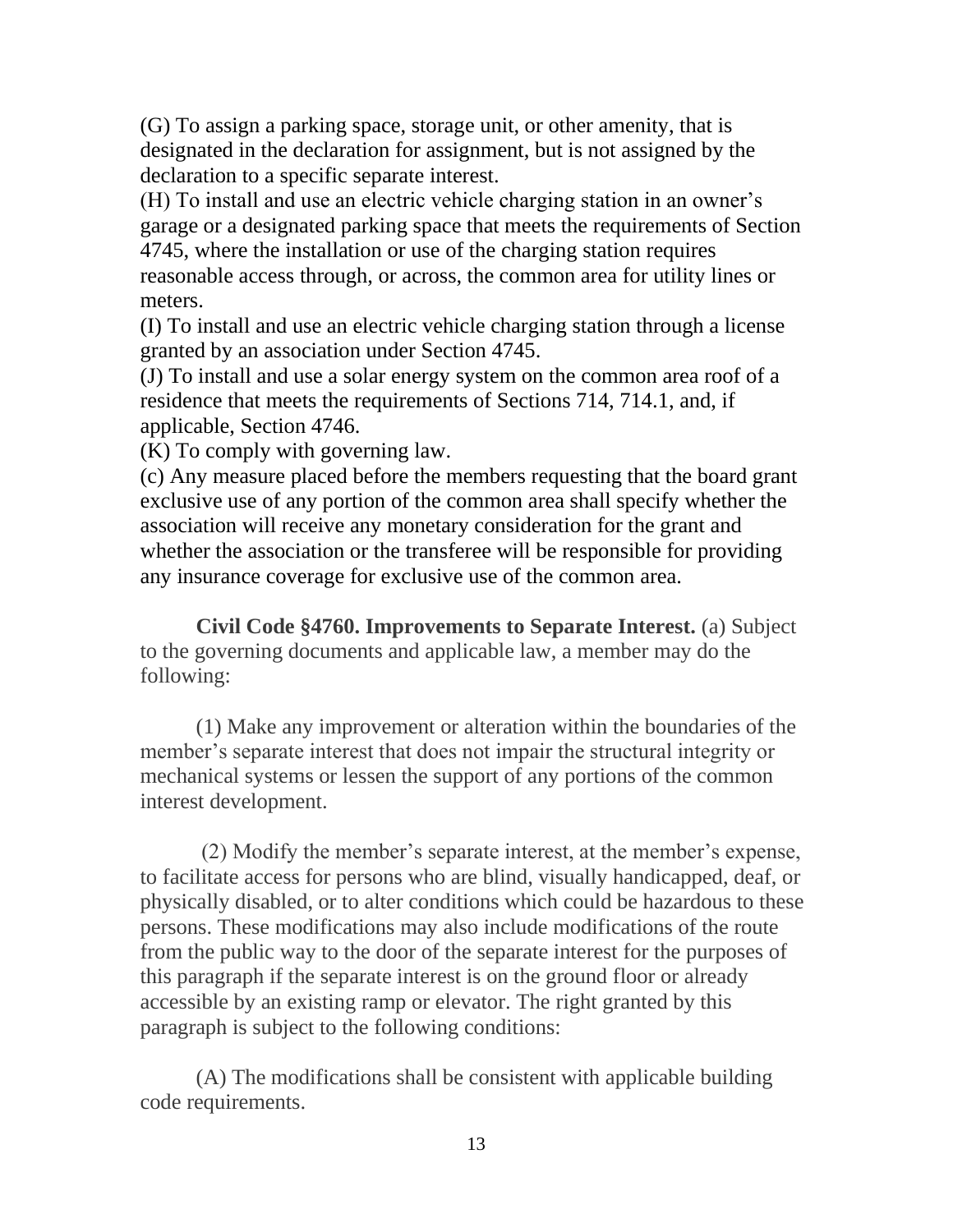(G) To assign a parking space, storage unit, or other amenity, that is designated in the declaration for assignment, but is not assigned by the declaration to a specific separate interest.

(H) To install and use an electric vehicle charging station in an owner's garage or a designated parking space that meets the requirements of Section 4745, where the installation or use of the charging station requires reasonable access through, or across, the common area for utility lines or meters.

(I) To install and use an electric vehicle charging station through a license granted by an association under Section 4745.

(J) To install and use a solar energy system on the common area roof of a residence that meets the requirements of Sections 714, 714.1, and, if applicable, Section 4746.

(K) To comply with governing law.

(c) Any measure placed before the members requesting that the board grant exclusive use of any portion of the common area shall specify whether the association will receive any monetary consideration for the grant and whether the association or the transferee will be responsible for providing any insurance coverage for exclusive use of the common area.

**Civil Code §4760. Improvements to Separate Interest.** (a) Subject to the governing documents and applicable law, a member may do the following:

(1) Make any improvement or alteration within the boundaries of the member's separate interest that does not impair the structural integrity or mechanical systems or lessen the support of any portions of the common interest development.

(2) Modify the member's separate interest, at the member's expense, to facilitate access for persons who are blind, visually handicapped, deaf, or physically disabled, or to alter conditions which could be hazardous to these persons. These modifications may also include modifications of the route from the public way to the door of the separate interest for the purposes of this paragraph if the separate interest is on the ground floor or already accessible by an existing ramp or elevator. The right granted by this paragraph is subject to the following conditions:

(A) The modifications shall be consistent with applicable building code requirements.